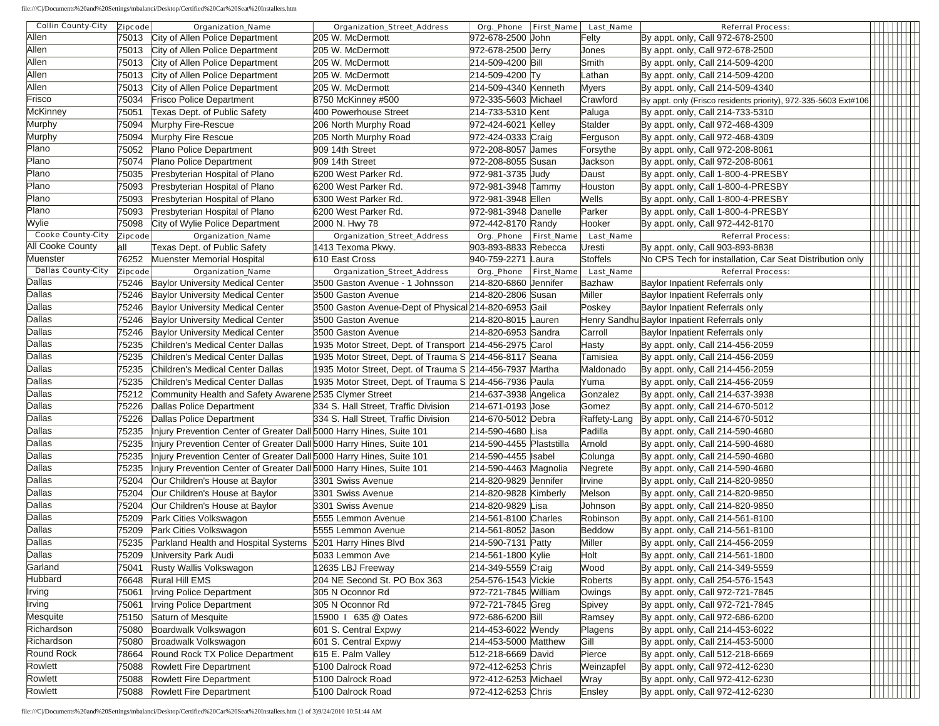file:///C|/Documents%20and%20Settings/mbalanci/Desktop/Certified%20Car%20Seat%20Installers.htm

| <b>Collin County-City</b> | <b>Zipcode</b> | <b>Organization_Name</b>                                             | <b>Organization_Street_Address</b>                       |                          | Org._Phone First_Name Last_Name | <b>Referral Process:</b>                                        |  |                  |  |
|---------------------------|----------------|----------------------------------------------------------------------|----------------------------------------------------------|--------------------------|---------------------------------|-----------------------------------------------------------------|--|------------------|--|
| Allen                     |                | 75013 City of Allen Police Department                                | 205 W. McDermott                                         | 972-678-2500 John        | Felty                           | By appt. only, Call 972-678-2500                                |  |                  |  |
| Allen                     |                | 75013 City of Allen Police Department                                | 205 W. McDermott                                         | 972-678-2500 Jerry       | Jones                           | By appt. only, Call 972-678-2500                                |  |                  |  |
| Allen                     |                | 75013 City of Allen Police Department                                | 205 W. McDermott                                         | 214-509-4200 Bill        | Smith                           | By appt. only, Call 214-509-4200                                |  |                  |  |
| Allen                     | 75013          | City of Allen Police Department                                      | 205 W. McDermott                                         | 214-509-4200 Ty          | Lathan                          | By appt. only, Call 214-509-4200                                |  |                  |  |
| Allen                     | 75013          | City of Allen Police Department                                      | 205 W. McDermott                                         | 214-509-4340 Kenneth     | Myers                           | By appt. only, Call 214-509-4340                                |  |                  |  |
| Frisco                    | 75034          | <b>Frisco Police Department</b>                                      | 8750 McKinney #500                                       | 972-335-5603 Michael     | Crawford                        | By appt. only (Frisco residents priority), 972-335-5603 Ext#106 |  |                  |  |
| <b>McKinney</b>           | 75051          | Texas Dept. of Public Safety                                         | 400 Powerhouse Street                                    | 214-733-5310 Kent        | Paluga                          | By appt. only, Call 214-733-5310                                |  |                  |  |
| Murphy                    | 75094          | Murphy Fire-Rescue                                                   | 206 North Murphy Road                                    | 972-424-6021 Kelley      | Stalder                         | By appt. only, Call 972-468-4309                                |  |                  |  |
| Murphy                    | 75094          | Murphy Fire Rescue                                                   | 205 North Murphy Road                                    | 972-424-0333 Craig       | Ferguson                        | By appt. only, Call 972-468-4309                                |  |                  |  |
| Plano                     | 75052          | Plano Police Department                                              | 909 14th Street                                          | 972-208-8057 James       | Forsythe                        | By appt. only, Call 972-208-8061                                |  |                  |  |
| Plano                     | 75074          | Plano Police Department                                              | 909 14th Street                                          | 972-208-8055 Susan       | Jackson                         | By appt. only, Call 972-208-8061                                |  |                  |  |
| Plano                     | 75035          | Presbyterian Hospital of Plano                                       | 6200 West Parker Rd.                                     | 972-981-3735 Judy        | Daust                           | By appt. only, Call 1-800-4-PRESBY                              |  |                  |  |
| Plano                     | 75093          | Presbyterian Hospital of Plano                                       | 6200 West Parker Rd.                                     | 972-981-3948 Tammy       | Houston                         | By appt. only, Call 1-800-4-PRESBY                              |  |                  |  |
| Plano                     | 75093          | Presbyterian Hospital of Plano                                       | 6300 West Parker Rd.                                     | 972-981-3948 Ellen       | Wells                           | By appt. only, Call 1-800-4-PRESBY                              |  |                  |  |
| Plano                     | 75093          | Presbyterian Hospital of Plano                                       | 6200 West Parker Rd.                                     | 972-981-3948 Danelle     | Parker                          | By appt. only, Call 1-800-4-PRESBY                              |  |                  |  |
| Wylie                     | 75098          | City of Wylie Police Department                                      | 2000 N. Hwy 78                                           | 972-442-8170 Randy       | Hooker                          | By appt. only, Call 972-442-8170                                |  |                  |  |
| <b>Cooke County-City</b>  | <b>Zipcode</b> | <b>Organization_Name</b>                                             | <b>Organization_Street_Address</b>                       | Org._Phone First_Name    | <b>Last_Name</b>                | <b>Referral Process:</b>                                        |  |                  |  |
| <b>All Cooke County</b>   | all            | Texas Dept. of Public Safety                                         | 1413 Texoma Pkwy.                                        | 903-893-8833 Rebecca     | Uresti                          | By appt. only, Call 903-893-8838                                |  |                  |  |
| Muenster                  | 76252          | Muenster Memorial Hospital                                           | 610 East Cross                                           | 940-759-2271 Laura       | Stoffels                        | No CPS Tech for installation, Car Seat Distribution only        |  |                  |  |
| <b>Dallas County-City</b> | Zipcode        | <b>Organization_Name</b>                                             | <b>Organization_Street_Address</b>                       | Org._Phone First_Name    | <b>Last_Name</b>                | <b>Referral Process:</b>                                        |  |                  |  |
| Dallas                    | 75246          | <b>Baylor University Medical Center</b>                              | 3500 Gaston Avenue - 1 Johnsson                          | 214-820-6860 Jennifer    | Bazhaw                          | Baylor Inpatient Referrals only                                 |  |                  |  |
| Dallas                    | 75246          | <b>Baylor University Medical Center</b>                              | 3500 Gaston Avenue                                       | 214-820-2806 Susan       | Miller                          | Baylor Inpatient Referrals only                                 |  |                  |  |
| Dallas                    | 75246          | <b>Baylor University Medical Center</b>                              | 3500 Gaston Avenue-Dept of Physical 214-820-6953 Gail    |                          | Poskey                          | Baylor Inpatient Referrals only                                 |  |                  |  |
| Dallas                    | 75246          | <b>Baylor University Medical Center</b>                              | 3500 Gaston Avenue                                       | 214-820-8015 Lauren      |                                 | Henry Sandhu Baylor Inpatient Referrals only                    |  |                  |  |
| Dallas                    | 75246          | <b>Baylor University Medical Center</b>                              | 3500 Gaston Avenue                                       | 214-820-6953 Sandra      | Carroll                         | Baylor Inpatient Referrals only                                 |  |                  |  |
| Dallas                    | 75235          | Children's Medical Center Dallas                                     | 1935 Motor Street, Dept. of Transport 214-456-2975 Carol |                          | Hasty                           | By appt. only, Call 214-456-2059                                |  |                  |  |
| Dallas                    | 75235          | Children's Medical Center Dallas                                     | 1935 Motor Street, Dept. of Trauma S 214-456-8117 Seana  |                          | Tamisiea                        | By appt. only, Call 214-456-2059                                |  |                  |  |
| Dallas                    | 75235          | Children's Medical Center Dallas                                     | 1935 Motor Street, Dept. of Trauma S 214-456-7937 Martha |                          | Maldonado                       | By appt. only, Call 214-456-2059                                |  |                  |  |
| Dallas                    | 75235          | Children's Medical Center Dallas                                     | 1935 Motor Street, Dept. of Trauma S 214-456-7936 Paula  |                          | Yuma                            | By appt. only, Call 214-456-2059                                |  |                  |  |
| Dallas                    | 75212          | Community Health and Safety Awarene 2535 Clymer Street               |                                                          | 214-637-3938 Angelica    | Gonzalez                        | By appt. only, Call 214-637-3938                                |  |                  |  |
| Dallas                    | 75226          | Dallas Police Department                                             | 334 S. Hall Street, Traffic Division                     | 214-671-0193 Jose        | Gomez                           | By appt. only, Call 214-670-5012                                |  |                  |  |
| Dallas                    | 75226          | Dallas Police Department                                             | 334 S. Hall Street, Traffic Division                     | 214-670-5012 Debra       |                                 | Raffety-Lang By appt. only, Call 214-670-5012                   |  |                  |  |
| Dallas                    | 75235          | Injury Prevention Center of Greater Dall 5000 Harry Hines, Suite 101 |                                                          | 214-590-4680 Lisa        | Padilla                         | By appt. only, Call 214-590-4680                                |  |                  |  |
| Dallas                    | 75235          | Injury Prevention Center of Greater Dall 5000 Harry Hines, Suite 101 |                                                          | 214-590-4455 Plaststilla | Arnold                          | By appt. only, Call 214-590-4680                                |  |                  |  |
| Dallas                    | 75235          | Injury Prevention Center of Greater Dall 5000 Harry Hines, Suite 101 |                                                          | 214-590-4455   sabel     | Colunga                         | By appt. only, Call 214-590-4680                                |  |                  |  |
| Dallas                    | 75235          | Injury Prevention Center of Greater Dall 5000 Harry Hines, Suite 101 |                                                          | 214-590-4463 Magnolia    | Negrete                         | By appt. only, Call 214-590-4680                                |  |                  |  |
| Dallas                    | 75204          | Our Children's House at Baylor                                       | 3301 Swiss Avenue                                        | 214-820-9829 Jennifer    | Irvine                          | By appt. only, Call 214-820-9850                                |  |                  |  |
| Dallas                    | 75204          | Our Children's House at Baylor                                       | 3301 Swiss Avenue                                        | 214-820-9828 Kimberly    | Melson                          | By appt. only, Call 214-820-9850                                |  |                  |  |
| Dallas                    | 75204          | Our Children's House at Baylor                                       | 3301 Swiss Avenue                                        | 214-820-9829 Lisa        | Johnson                         | By appt. only, Call 214-820-9850                                |  |                  |  |
| Dallas                    | 75209          | Park Cities Volkswagon                                               | 5555 Lemmon Avenue                                       | 214-561-8100 Charles     | Robinson                        | By appt. only, Call 214-561-8100                                |  |                  |  |
| Dallas                    | 75209          | Park Cities Volkswagon                                               | 5555 Lemmon Avenue                                       | 214-561-8052 Jason       | Beddow                          | By appt. only, Call 214-561-8100                                |  |                  |  |
| Dallas                    | 75235          | Parkland Health and Hospital Systems 5201 Harry Hines Blvd           |                                                          | 214-590-7131 Patty       | Miller                          | By appt. only, Call 214-456-2059                                |  |                  |  |
| <b>Dallas</b>             | 75209          | University Park Audi                                                 | 5033 Lemmon Ave                                          | 214-561-1800 Kylie       | Holt                            | By appt. only, Call 214-561-1800                                |  |                  |  |
| Garland                   | 75041          | Rusty Wallis Volkswagon                                              | 12635 LBJ Freeway                                        | 214-349-5559 Craig       | Wood                            | By appt. only, Call 214-349-5559                                |  | <u> 11111111</u> |  |
| Hubbard                   | 76648          | Rural Hill EMS                                                       | 204 NE Second St. PO Box 363                             | 254-576-1543 Vickie      | Roberts                         | By appt. only, Call 254-576-1543                                |  |                  |  |
| Irving                    | 75061          | <b>Irving Police Department</b>                                      | 305 N Oconnor Rd                                         | 972-721-7845 William     | Owings                          | By appt. only, Call 972-721-7845                                |  |                  |  |
| Irving                    | 75061          | <b>Irving Police Department</b>                                      | 305 N Oconnor Rd                                         | 972-721-7845 Greg        | Spivey                          | By appt. only, Call 972-721-7845                                |  |                  |  |
| Mesquite                  | 75150          | Saturn of Mesquite                                                   | 15900   635 @ Oates                                      | 972-686-6200 Bill        | Ramsey                          | By appt. only, Call 972-686-6200                                |  |                  |  |
| Richardson                | 75080          | Boardwalk Volkswagon                                                 | 601 S. Central Expwy                                     | 214-453-6022 Wendy       | Plagens                         | By appt. only, Call 214-453-6022                                |  |                  |  |
| Richardson                | 75080          | Broadwalk Volkswagon                                                 | 601 S. Central Expwy                                     | 214-453-5000 Matthew     | Gill                            | By appt. only, Call 214-453-5000                                |  |                  |  |
| <b>Round Rock</b>         | 78664          | Round Rock TX Police Department                                      | 615 E. Palm Valley                                       | 512-218-6669 David       | Pierce                          | By appt. only, Call 512-218-6669                                |  | <b>HILL</b>      |  |
| Rowlett                   | 75088          | <b>Rowlett Fire Department</b>                                       | 5100 Dalrock Road                                        | 972-412-6253 Chris       | Weinzapfel                      | By appt. only, Call 972-412-6230                                |  |                  |  |
| Rowlett                   | 75088          | <b>Rowlett Fire Department</b>                                       | 5100 Dalrock Road                                        | 972-412-6253 Michael     | Wray                            | By appt. only, Call 972-412-6230                                |  |                  |  |
| Rowlett                   |                |                                                                      |                                                          |                          |                                 |                                                                 |  |                  |  |
|                           | 75088          | <b>Rowlett Fire Department</b>                                       | 5100 Dalrock Road                                        | 972-412-6253 Chris       | Ensley                          | By appt. only, Call 972-412-6230                                |  |                  |  |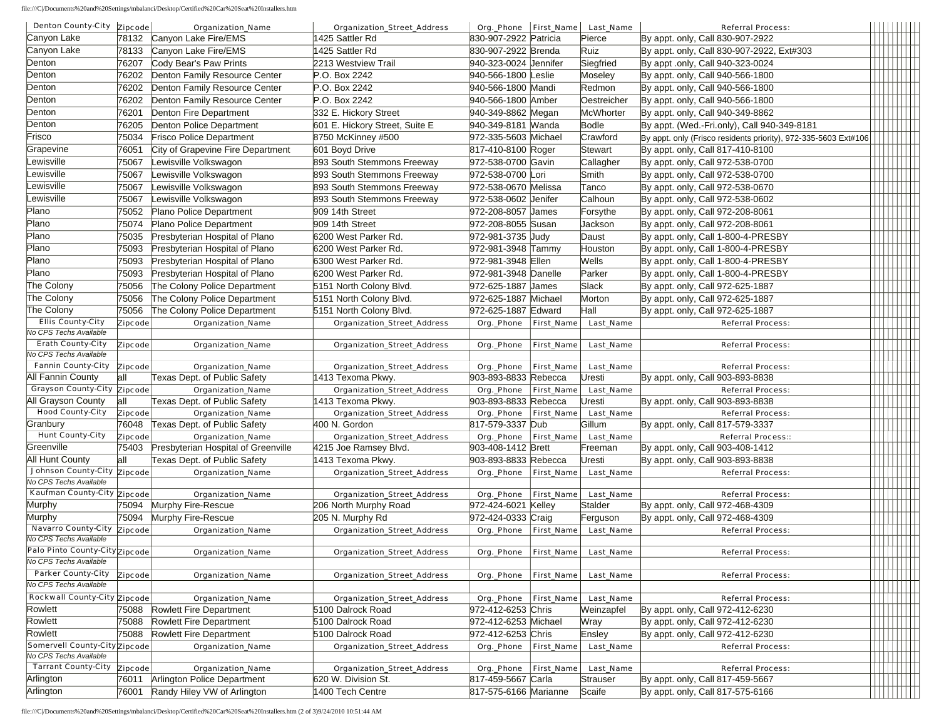file:///C|/Documents%20and%20Settings/mbalanci/Desktop/Certified%20Car%20Seat%20Installers.htm

| Denton County-City Zipcode                                   |                | <b>Organization_Name</b>                                   | <b>Organization_Street_Address</b>      | Org._Phone First_Name                       |                   | <b>Last_Name</b>                    | <b>Referral Process:</b>                                             |      |  |
|--------------------------------------------------------------|----------------|------------------------------------------------------------|-----------------------------------------|---------------------------------------------|-------------------|-------------------------------------|----------------------------------------------------------------------|------|--|
| Canyon Lake                                                  | 78132          | Canyon Lake Fire/EMS                                       | 1425 Sattler Rd                         | 830-907-2922 Patricia                       |                   | Pierce                              | By appt. only, Call 830-907-2922                                     |      |  |
| Canyon Lake                                                  | 78133          | Canyon Lake Fire/EMS                                       | 1425 Sattler Rd                         | 830-907-2922 Brenda                         |                   | Ruiz                                | By appt. only, Call 830-907-2922, Ext#303                            |      |  |
| Denton                                                       | 76207          | Cody Bear's Paw Prints                                     | 2213 Westview Trail                     | 940-323-0024 Jennifer                       |                   | Siegfried                           | By appt .only, Call 940-323-0024                                     |      |  |
| Denton                                                       | 76202          | Denton Family Resource Center                              | P.O. Box 2242                           | 940-566-1800 Leslie                         |                   | Moseley                             | By appt. only, Call 940-566-1800                                     |      |  |
| Denton                                                       | 76202          | Denton Family Resource Center                              | P.O. Box 2242                           | 940-566-1800 Mandi                          |                   | Redmon                              | By appt. only, Call 940-566-1800                                     |      |  |
| Denton                                                       | 76202          | Denton Family Resource Center                              | P.O. Box 2242                           | 940-566-1800 Amber                          |                   | Oestreicher                         | By appt. only, Call 940-566-1800                                     |      |  |
| Denton                                                       | 76201          | Denton Fire Department                                     | 332 E. Hickory Street                   | 940-349-8862 Megan                          |                   | McWhorter                           | By appt. only, Call 940-349-8862                                     |      |  |
| Denton                                                       | 76205          | Denton Police Department                                   | 601 E. Hickory Street, Suite E          | 940-349-8181 Wanda                          |                   | Bodle                               | By appt. (Wed.-Fri.only), Call 940-349-8181                          |      |  |
| Frisco                                                       | 75034          | <b>Frisco Police Department</b>                            | 8750 McKinney #500                      | 972-335-5603 Michael                        |                   | Crawford                            | By appt. only (Frisco residents priority), 972-335-5603 Ext#106      |      |  |
| Grapevine                                                    | 76051          | City of Grapevine Fire Department                          | 601 Boyd Drive                          | 817-410-8100 Roger                          |                   | Stewart                             | By appt. only, Call 817-410-8100                                     |      |  |
| Lewisville                                                   | 75067          | Lewisville Volkswagon                                      | 893 South Stemmons Freeway              | 972-538-0700 Gavin                          |                   | Callagher                           | By appt. only, Call 972-538-0700                                     |      |  |
| Lewisville                                                   | 75067          | Lewisville Volkswagon                                      | 893 South Stemmons Freeway              | 972-538-0700 Lori                           |                   | Smith                               | By appt. only, Call 972-538-0700                                     |      |  |
| Lewisville                                                   | 75067          | Lewisville Volkswagon                                      | 893 South Stemmons Freewav              | 972-538-0670 Melissa                        |                   | Tanco                               | By appt. only, Call 972-538-0670                                     |      |  |
| Lewisville                                                   | 75067          | Lewisville Volkswagon                                      | 893 South Stemmons Freeway              | 972-538-0602 Jenifer                        |                   | Calhoun                             | By appt. only, Call 972-538-0602                                     |      |  |
| Plano                                                        | 75052          | Plano Police Department                                    | 909 14th Street                         | 972-208-8057 James                          |                   | Forsythe                            | By appt. only, Call 972-208-8061                                     |      |  |
| Plano                                                        | 75074          | Plano Police Department                                    | 909 14th Street                         | 972-208-8055 Susan                          |                   | Jackson                             | By appt. only, Call 972-208-8061                                     |      |  |
| Plano                                                        | 75035          | Presbyterian Hospital of Plano                             | 6200 West Parker Rd.                    | 972-981-3735 Judy                           |                   | Daust                               | By appt. only, Call 1-800-4-PRESBY                                   |      |  |
| Plano                                                        | 75093          | Presbyterian Hospital of Plano                             | 6200 West Parker Rd.                    | 972-981-3948 Tammy                          |                   | Houston                             | By appt. only, Call 1-800-4-PRESBY                                   |      |  |
| Plano                                                        | 75093          | Presbyterian Hospital of Plano                             | 6300 West Parker Rd.                    | 972-981-3948 Ellen                          |                   | Wells                               | By appt. only, Call 1-800-4-PRESBY                                   |      |  |
| Plano                                                        | 75093          | Presbyterian Hospital of Plano                             | 6200 West Parker Rd.                    | 972-981-3948 Danelle                        |                   | Parker                              | By appt. only, Call 1-800-4-PRESBY                                   |      |  |
| The Colony                                                   | 75056          | The Colony Police Department                               | 5151 North Colony Blvd.                 | 972-625-1887 James                          |                   | Slack                               | By appt. only, Call 972-625-1887                                     |      |  |
| <b>The Colony</b>                                            | 75056          | The Colony Police Department                               | 5151 North Colony Blvd.                 | 972-625-1887 Michael                        |                   | Morton                              | By appt. only, Call 972-625-1887                                     |      |  |
| The Colony                                                   | 75056          | The Colony Police Department                               | 5151 North Colony Blvd.                 | 972-625-1887 Edward                         |                   | Hall                                | By appt. only, Call 972-625-1887                                     |      |  |
| <b>Ellis County-City</b>                                     | <b>Zipcode</b> | <b>Organization_Name</b>                                   | <b>Organization_Street_Address</b>      | Org._Phone First_Name                       |                   | Last_Name                           | <b>Referral Process:</b>                                             |      |  |
| No CPS Techs Available                                       |                |                                                            |                                         |                                             |                   |                                     |                                                                      | ПШШШ |  |
| <b>Erath County-City</b>                                     | Zipcode        | <b>Organization_Name</b>                                   | <b>Organization_Street_Address</b>      | Org._Phone First_Name                       |                   | <b>Last_Name</b>                    | <b>Referral Process:</b>                                             |      |  |
| No CPS Techs Available                                       |                |                                                            |                                         |                                             |                   |                                     |                                                                      |      |  |
| Fannin County-City Zipcode                                   |                | <b>Organization_Name</b>                                   | <b>Organization_Street_Address</b>      | Org._Phone First_Name                       |                   | <b>Last_Name</b>                    | <b>Referral Process:</b>                                             |      |  |
| All Fannin County                                            | lall           | Texas Dept. of Public Safety                               | 1413 Texoma Pkwy.                       | 903-893-8833 Rebecca                        |                   | Uresti                              | By appt. only, Call 903-893-8838                                     |      |  |
| <b>Grayson County-City Zipcode</b>                           |                | <b>Organization_Name</b>                                   | <b>Organization_Street_Address</b>      | Org._Phone                                  | <b>First_Name</b> | Last_Name                           | <b>Referral Process:</b>                                             |      |  |
| All Grayson County                                           | lall           | Texas Dept. of Public Safety                               | 1413 Texoma Pkwy.                       | 903-893-8833 Rebecca                        |                   | Uresti                              | By appt. only, Call 903-893-8838                                     |      |  |
| <b>Hood County-City</b>                                      | Zipcode        | <b>Organization_Name</b>                                   | <b>Organization_Street_Address</b>      | Org._Phone First_Name                       |                   | Last_Name                           | <b>Referral Process:</b>                                             |      |  |
| Granbury                                                     | 76048          | Texas Dept. of Public Safety                               | 400 N. Gordon                           | 817-579-3337 Dub                            |                   | Gillum                              | By appt. only, Call 817-579-3337                                     |      |  |
| <b>Hunt County-City</b>                                      | <b>Zipcode</b> | <b>Organization_Name</b>                                   | <b>Organization_Street_Address</b>      | Org._Phone First_Name                       |                   | Last_Name                           | <b>Referral Process::</b>                                            |      |  |
| Greenville                                                   | 75403          | Presbyterian Hospital of Greenville                        | 4215 Joe Ramsey Blvd.                   | 903-408-1412 Brett                          |                   | Freeman                             | By appt. only, Call 903-408-1412                                     |      |  |
| All Hunt County                                              | lall           | Texas Dept. of Public Safety                               | 1413 Texoma Pkwy.                       | 903-893-8833 Rebecca                        |                   | Uresti                              | By appt. only, Call 903-893-8838                                     |      |  |
| <b>Johnson County-City Zipcode</b><br>No CPS Techs Available |                | <b>Organization_Name</b>                                   | <b>Organization_Street_Address</b>      | Org._Phone   First_Name                     |                   | <b>Last_Name</b>                    | <b>Referral Process:</b>                                             |      |  |
| Kaufman County-City Zipcode                                  |                | <b>Organization_Name</b>                                   |                                         |                                             |                   |                                     |                                                                      |      |  |
|                                                              |                |                                                            |                                         |                                             |                   |                                     |                                                                      |      |  |
|                                                              |                |                                                            | <b>Organization_Street_Address</b>      | Org._Phone                                  | First_Name        | <b>Last_Name</b>                    | <b>Referral Process:</b>                                             |      |  |
| Murphy                                                       | 75094          | Murphy Fire-Rescue                                         | 206 North Murphy Road                   | 972-424-6021 Kelley                         |                   | Stalder                             | By appt. only, Call 972-468-4309                                     |      |  |
| Murphy                                                       | 75094          | Murphy Fire-Rescue                                         | 205 N. Murphy Rd                        | 972-424-0333 Craig                          |                   | Ferguson                            | By appt. only, Call 972-468-4309                                     |      |  |
| Navarro County-City Zipcode<br>No CPS Techs Available        |                | <b>Organization_Name</b>                                   | <b>Organization_Street_Address</b>      |                                             |                   | Org._Phone First_Name Last_Name     | <b>Referral Process:</b>                                             |      |  |
|                                                              |                |                                                            |                                         |                                             |                   |                                     | <b>Referral Process:</b>                                             |      |  |
| Palo Pinto County-City Zipcode<br>No CPS Techs Available     |                | <b>Organization_Name</b>                                   | <b>Organization_Street_Address</b>      |                                             |                   | Org._Phone   First_Name   Last_Name |                                                                      |      |  |
| <b>Parker County-City</b>                                    | <b>Zipcode</b> | <b>Organization_Name</b>                                   | <b>Organization_Street_Address</b>      | Org._Phone                                  | First_Name        | Last_Name                           | <b>Referral Process:</b>                                             |      |  |
| No CPS Techs Available                                       |                |                                                            |                                         |                                             |                   |                                     |                                                                      |      |  |
| <b>Rockwall County-City Zipcode</b>                          |                | <b>Organization_Name</b>                                   | <b>Organization_Street_Address</b>      | Org._Phone First_Name                       |                   | Last_Name                           | <b>Referral Process:</b>                                             |      |  |
| Rowlett                                                      | 75088          | <b>Rowlett Fire Department</b>                             | 5100 Dalrock Road                       | 972-412-6253 Chris                          |                   | Weinzapfel                          | By appt. only, Call 972-412-6230                                     |      |  |
| Rowlett                                                      | 75088          | <b>Rowlett Fire Department</b>                             | 5100 Dalrock Road                       | 972-412-6253 Michael                        |                   | Wray                                | By appt. only, Call 972-412-6230                                     |      |  |
| Rowlett                                                      | 75088          | <b>Rowlett Fire Department</b>                             | 5100 Dalrock Road                       | 972-412-6253 Chris                          |                   | Ensley                              | By appt. only, Call 972-412-6230                                     |      |  |
| Somervell County-City Zipcode                                |                | <b>Organization_Name</b>                                   | <b>Organization_Street_Address</b>      | Org._Phone First_Name                       |                   | Last_Name                           | <b>Referral Process:</b>                                             |      |  |
| No CPS Techs Available                                       |                |                                                            |                                         |                                             |                   |                                     |                                                                      |      |  |
| <b>Tarrant County-City Zipcode</b>                           |                | <b>Organization_Name</b>                                   | <b>Organization_Street_Address</b>      | Org._Phone First_Name                       |                   | Last_Name                           | <b>Referral Process:</b>                                             |      |  |
| Arlington<br>Arlington                                       | 76011<br>76001 | Arlington Police Department<br>Randy Hiley VW of Arlington | 620 W. Division St.<br>1400 Tech Centre | 817-459-5667 Carla<br>817-575-6166 Marianne |                   | Strauser<br>Scaife                  | By appt. only, Call 817-459-5667<br>By appt. only, Call 817-575-6166 |      |  |